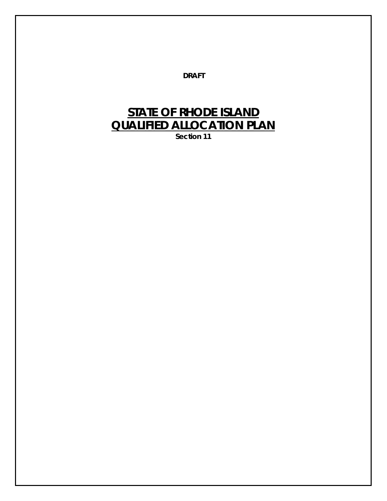**DRAFT**

# **STATE OF RHODE ISLAND QUALIFIED ALLOCATION PLAN**

**Section 11**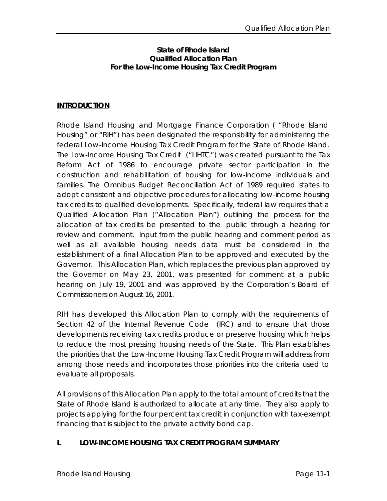#### **State of Rhode Island Qualified Allocation Plan For the Low-Income Housing Tax Credit Program**

#### **INTRODUCTION**

Rhode Island Housing and Mortgage Finance Corporation ( "Rhode Island Housing" or "RIH") has been designated the responsibility for administering the federal Low-Income Housing Tax Credit Program for the State of Rhode Island. The Low-Income Housing Tax Credit ("LIHTC") was created pursuant to the Tax Reform Act of 1986 to encourage private sector participation in the construction and rehabilitation of housing for low-income individuals and families. The Omnibus Budget Reconciliation Act of 1989 required states to adopt consistent and objective procedures for allocating low-income housing tax credits to qualified developments. Specifically, federal law requires that a Qualified Allocation Plan ("Allocation Plan") outlining the process for the allocation of tax credits be presented to the public through a hearing for review and comment. Input from the public hearing and comment period as well as all available housing needs data must be considered in the establishment of a final Allocation Plan to be approved and executed by the Governor. This Allocation Plan, which replaces the previous plan approved by the Governor on May 23, 2001, was presented for comment at a public hearing on July 19, 2001 and was approved by the Corporation's Board of Commissioners on August 16, 2001.

RIH has developed this Allocation Plan to comply with the requirements of Section 42 of the Internal Revenue Code (IRC) and to ensure that those developments receiving tax credits produce or preserve housing which helps to reduce the most pressing housing needs of the State. This Plan establishes the priorities that the Low-Income Housing Tax Credit Program will address from among those needs and incorporates those priorities into the criteria used to evaluate all proposals.

All provisions of this Allocation Plan apply to the total amount of credits that the State of Rhode Island is authorized to allocate at any time. They also apply to projects applying for the four percent tax credit in conjunction with tax-exempt financing that is subject to the private activity bond cap.

## **I. LOW-INCOME HOUSING TAX CREDIT PROGRAM SUMMARY**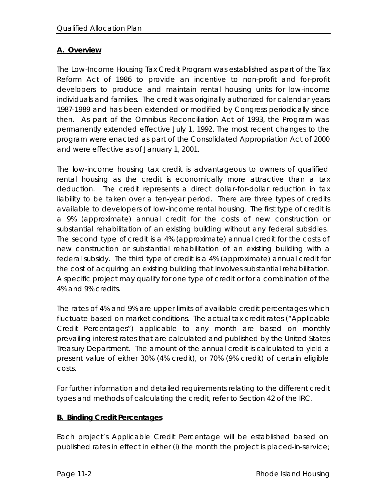## **A. Overview**

The Low-Income Housing Tax Credit Program was established as part of the Tax Reform Act of 1986 to provide an incentive to non-profit and for-profit developers to produce and maintain rental housing units for low-income individuals and families. The credit was originally authorized for calendar years 1987-1989 and has been extended or modified by Congress periodically since then. As part of the Omnibus Reconciliation Act of 1993, the Program was permanently extended effective July 1, 1992. The most recent changes to the program were enacted as part of the Consolidated Appropriation Act of 2000 and were effective as of January 1, 2001.

The low-income housing tax credit is advantageous to owners of qualified rental housing as the credit is economically more attractive than a tax deduction. The credit represents a direct dollar-for-dollar reduction in tax liability to be taken over a ten-year period. There are three types of credits available to developers of low-income rental housing. The first type of credit is a 9% (approximate) annual credit for the costs of new construction or substantial rehabilitation of an existing building without any federal subsidies. The second type of credit is a 4% (approximate) annual credit for the costs of new construction or substantial rehabilitation of an existing building with a federal subsidy. The third type of credit is a 4% (approximate) annual credit for the cost of acquiring an existing building that involves substantial rehabilitation. A specific project may qualify for one type of credit or for a combination of the 4% and 9% credits.

The rates of 4% and 9% are upper limits of available credit percentages which fluctuate based on market conditions. The actual tax credit rates ("Applicable Credit Percentages") applicable to any month are based on monthly prevailing interest rates that are calculated and published by the United States Treasury Department. The amount of the annual credit is calculated to yield a present value of either 30% (4% credit), or 70% (9% credit) of certain eligible costs.

For further information and detailed requirements relating to the different credit types and methods of calculating the credit, refer to Section 42 of the IRC.

# **B. Binding Credit Percentages**

Each project's Applicable Credit Percentage will be established based on published rates in effect in either (i) the month the project is placed-in-service;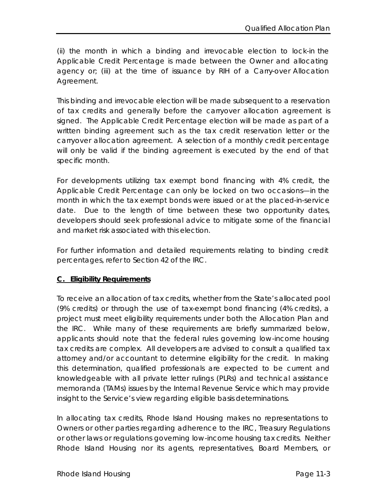(ii) the month in which a binding and irrevocable election to lock-in the Applicable Credit Percentage is made between the Owner and allocating agency or; (iii) at the time of issuance by RIH of a Carry-over Allocation Agreement.

This binding and irrevocable election will be made subsequent to a reservation of tax credits and generally before the carryover allocation agreement is signed. The Applicable Credit Percentage election will be made as part of a written binding agreement such as the tax credit reservation letter or the carryover allocation agreement. A selection of a monthly credit percentage will only be valid if the binding agreement is executed by the end of that specific month.

For developments utilizing tax exempt bond financing with 4% credit, the Applicable Credit Percentage can only be locked on two occasions—in the month in which the tax exempt bonds were issued or at the placed-in-service date. Due to the length of time between these two opportunity dates, developers should seek professional advice to mitigate some of the financial and market risk associated with this election.

For further information and detailed requirements relating to binding credit percentages, refer to Section 42 of the IRC.

## **C. Eligibility Requirements**

To receive an allocation of tax credits, whether from the State's allocated pool (9% credits) or through the use of tax-exempt bond financing (4% credits), a project must meet eligibility requirements under both the Allocation Plan and the IRC. While many of these requirements are briefly summarized below, applicants should note that the federal rules governing low-income housing tax credits are complex. All developers are advised to consult a qualified tax attorney and/or accountant to determine eligibility for the credit. In making this determination, qualified professionals are expected to be current and knowledgeable with all private letter rulings (PLRs) and technical assistance memoranda (TAMs) issues by the Internal Revenue Service which may provide insight to the Service's view regarding eligible basis determinations.

In allocating tax credits, Rhode Island Housing makes no representations to Owners or other parties regarding adherence to the IRC, Treasury Regulations or other laws or regulations governing low-income housing tax credits. Neither Rhode Island Housing nor its agents, representatives, Board Members, or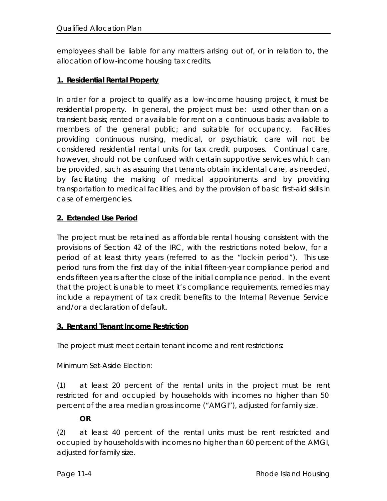employees shall be liable for any matters arising out of, or in relation to, the allocation of low-income housing tax credits.

## **1. Residential Rental Property**

In order for a project to qualify as a low-income housing project, it must be residential property. In general, the project must be: used other than on a transient basis; rented or available for rent on a continuous basis; available to members of the general public; and suitable for occupancy. Facilities providing continuous nursing, medical, or psychiatric care will not be considered residential rental units for tax credit purposes. Continual care, however, should not be confused with certain supportive services which can be provided, such as assuring that tenants obtain incidental care, as needed, by facilitating the making of medical appointments and by providing transportation to medical facilities, and by the provision of basic first-aid skills in case of emergencies.

## **2. Extended Use Period**

The project must be retained as affordable rental housing consistent with the provisions of Section 42 of the IRC, with the restrictions noted below, for a period of at least thirty years (referred to as the "lock-in period"). This use period runs from the first day of the initial fifteen-year compliance period and ends fifteen years after the close of the initial compliance period. In the event that the project is unable to meet it's compliance requirements, remedies may include a repayment of tax credit benefits to the Internal Revenue Service and/or a declaration of default.

## **3. Rent and Tenant Income Restriction**

The project must meet certain tenant income and rent restrictions:

Minimum Set-Aside Election:

(1) at least 20 percent of the rental units in the project must be rent restricted for and occupied by households with incomes no higher than 50 percent of the area median gross income ("AMGI"), adjusted for family size. ŗ

# **OR**

(2) at least 40 percent of the rental units must be rent restricted and occupied by households with incomes no higher than 60 percent of the AMGI, adjusted for family size.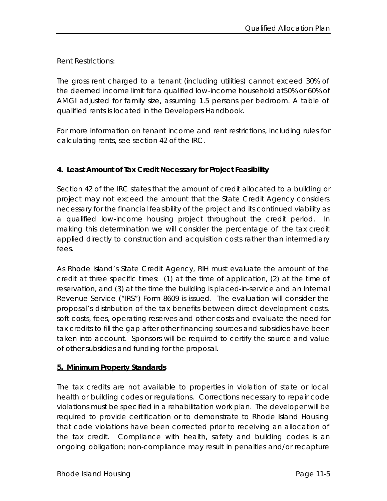Rent Restrictions:

The gross rent charged to a tenant (including utilities) cannot exceed 30% of the deemed income limit for a qualified low-income household at50% or 60% of AMGI adjusted for family size, assuming 1.5 persons per bedroom. A table of qualified rents is located in the Developers Handbook.

For more information on tenant income and rent restrictions, including rules for calculating rents, see section 42 of the IRC.

## **4. Least Amount of Tax Credit Necessary for Project Feasibility**

Section 42 of the IRC states that the amount of credit allocated to a building or project may not exceed the amount that the State Credit Agency considers necessary for the financial feasibility of the project and its continued viability as a qualified low-income housing project throughout the credit period. In making this determination we will consider the percentage of the tax credit applied directly to construction and acquisition costs rather than intermediary fees.

As Rhode Island's State Credit Agency, RIH must evaluate the amount of the credit at three specific times: (1) at the time of application, (2) at the time of reservation, and (3) at the time the building is placed-in-service and an Internal Revenue Service ("IRS") Form 8609 is issued. The evaluation will consider the proposal's distribution of the tax benefits between direct development costs, soft costs, fees, operating reserves and other costs and evaluate the need for tax credits to fill the gap after other financing sources and subsidies have been taken into account. Sponsors will be required to certify the source and value of other subsidies and funding for the proposal.

## **5. Minimum Property Standards**

The tax credits are not available to properties in violation of state or local health or building codes or regulations. Corrections necessary to repair code violations must be specified in a rehabilitation work plan. The developer will be required to provide certification or to demonstrate to Rhode Island Housing that code violations have been corrected prior to receiving an allocation of the tax credit. Compliance with health, safety and building codes is an ongoing obligation; non-compliance may result in penalties and/or recapture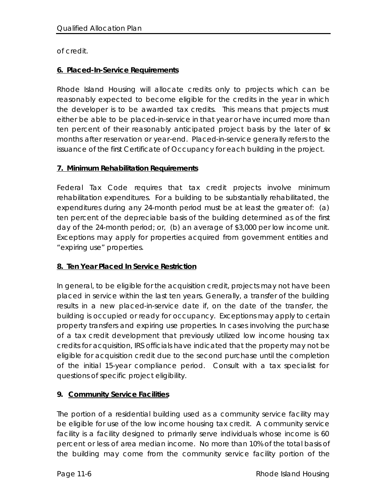of credit.

## **6. Placed-In-Service Requirements**

Rhode Island Housing will allocate credits only to projects which can be reasonably expected to become eligible for the credits in the year in which the developer is to be awarded tax credits. This means that projects must either be able to be placed-in-service in that year or have incurred more than ten percent of their reasonably anticipated project basis by the later of six months after reservation or year-end. Placed-in-service generally refers to the issuance of the first Certificate of Occupancy for each building in the project.

## **7. Minimum Rehabilitation Requirements**

Federal Tax Code requires that tax credit projects involve minimum rehabilitation expenditures. For a building to be substantially rehabilitated, the expenditures during any 24-month period must be at least the greater of: (a) ten percent of the depreciable basis of the building determined as of the first day of the 24-month period; or, (b) an average of \$3,000 per low income unit. Exceptions may apply for properties acquired from government entities and "expiring use" properties.

## **8. Ten Year Placed In Service Restriction**

In general, to be eligible for the acquisition credit, projects may not have been placed in service within the last ten years. Generally, a transfer of the building results in a new placed-in-service date if, on the date of the transfer, the building is occupied or ready for occupancy. Exceptions may apply to certain property transfers and expiring use properties. In cases involving the purchase of a tax credit development that previously utilized low income housing tax credits for acquisition, IRS officials have indicated that the property may not be eligible for acquisition credit due to the second purchase until the completion of the initial 15-year compliance period. Consult with a tax specialist for questions of specific project eligibility.

# **9. Community Service Facilities**

The portion of a residential building used as a community service facility may be eligible for use of the low income housing tax credit. A community service facility is a facility designed to primarily serve individuals whose income is 60 percent or less of area median income. No more than 10% of the total basis of the building may come from the community service facility portion of the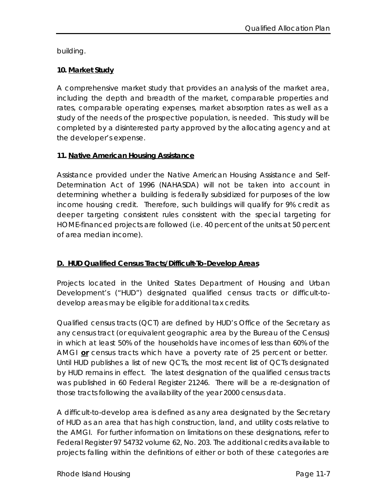building.

## **10. Market Study**

A comprehensive market study that provides an analysis of the market area, including the depth and breadth of the market, comparable properties and rates, comparable operating expenses, market absorption rates as well as a study of the needs of the prospective population, is needed. This study will be completed by a disinterested party approved by the allocating agency and at the developer's expense.

## **11. Native American Housing Assistance**

Assistance provided under the Native American Housing Assistance and Self-Determination Act of 1996 (NAHASDA) will not be taken into account in determining whether a building is federally subsidized for purposes of the low income housing credit. Therefore, such buildings will qualify for 9% credit as deeper targeting consistent rules consistent with the special targeting for HOME-financed projects are followed (i.e. 40 percent of the units at 50 percent of area median income).

# **D. HUD Qualified Census Tracts/Difficult-To-Develop Areas**

Projects located in the United States Department of Housing and Urban Development's ("HUD") designated qualified census tracts or difficult-todevelop areas may be eligible for additional tax credits.

Qualified census tracts (QCT) are defined by HUD's Office of the Secretary as any census tract (or equivalent geographic area by the Bureau of the Census) in which at least 50% of the households have incomes of less than 60% of the AMGI **or** census tracts which have a poverty rate of 25 percent or better. Until HUD publishes a list of new QCTs, the most recent list of QCTs designated by HUD remains in effect. The latest designation of the qualified census tracts was published in 60 Federal Register 21246. There will be a re-designation of those tracts following the availability of the year 2000 census data.

A difficult-to-develop area is defined as any area designated by the Secretary of HUD as an area that has high construction, land, and utility costs relative to the AMGI. For further information on limitations on these designations, refer to Federal Register 97 54732 volume 62, No. 203. The additional credits available to projects falling within the definitions of either or both of these categories are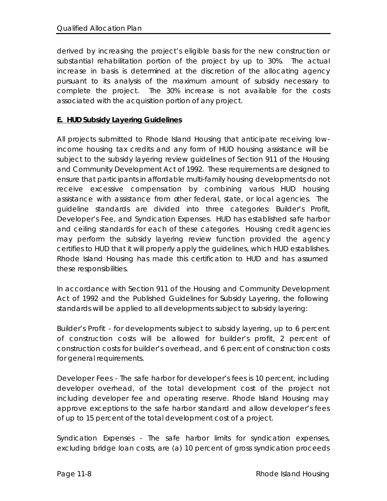derived by increasing the project's eligible basis for the new construction or substantial rehabilitation portion of the project by up to 30%. The actual increase in basis is determined at the discretion of the allocating agency pursuant to its analysis of the maximum amount of subsidy necessary to complete the project. The 30% increase is not available for the costs associated with the acquisition portion of any project.

## **E. HUD Subsidy Layering Guidelines**

All projects submitted to Rhode Island Housing that anticipate receiving lowincome housing tax credits and any form of HUD housing assistance will be subject to the subsidy layering review guidelines of Section 911 of the Housing and Community Development Act of 1992. These requirements are designed to ensure that participants in affordable multi-family housing developments do not receive excessive compensation by combining various HUD housing assistance with assistance from other federal, state, or local agencies. The guideline standards are divided into three categories: Builder's Profit, Developer's Fee, and Syndication Expenses. HUD has established safe harbor and ceiling standards for each of these categories. Housing credit agencies may perform the subsidy layering review function provided the agency certifies to HUD that it will properly apply the guidelines, which HUD establishes. Rhode Island Housing has made this certification to HUD and has assumed these responsibilities.

In accordance with Section 911 of the Housing and Community Development Act of 1992 and the Published Guidelines for Subsidy Layering, the following standards will be applied to all developments subject to subsidy layering:

Builder's Profit - for developments subject to subsidy layering, up to 6 percent of construction costs will be allowed for builder's profit, 2 percent of construction costs for builder's overhead, and 6 percent of construction costs for general requirements.

Developer Fees - The safe harbor for developer's fees is 10 percent, including developer overhead, of the total development cost of the project not including developer fee and operating reserve. Rhode Island Housing may approve exceptions to the safe harbor standard and allow developer's fees of up to 15 percent of the total development cost of a project.

Syndication Expenses - The safe harbor limits for syndication expenses, excluding bridge loan costs, are (a) 10 percent of gross syndication proceeds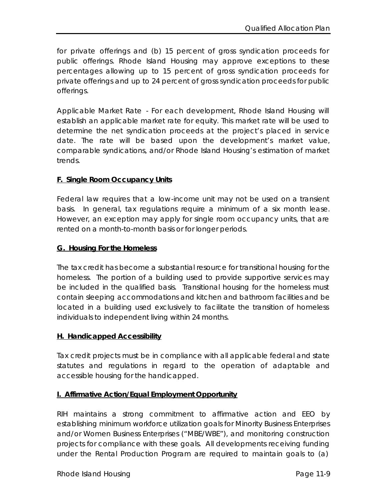for private offerings and (b) 15 percent of gross syndication proceeds for public offerings. Rhode Island Housing may approve exceptions to these percentages allowing up to 15 percent of gross syndication proceeds for private offerings and up to 24 percent of gross syndication proceeds for public offerings.

Applicable Market Rate - For each development, Rhode Island Housing will establish an applicable market rate for equity. This market rate will be used to determine the net syndication proceeds at the project's placed in service date. The rate will be based upon the development's market value, comparable syndications, and/or Rhode Island Housing's estimation of market trends.

#### **F. Single Room Occupancy Units**

Federal law requires that a low-income unit may not be used on a transient basis. In general, tax regulations require a minimum of a six month lease. However, an exception may apply for single room occupancy units, that are rented on a month-to-month basis or for longer periods.

#### **G. Housing For the Homeless**

The tax credit has become a substantial resource for transitional housing for the homeless. The portion of a building used to provide supportive services may be included in the qualified basis. Transitional housing for the homeless must contain sleeping accommodations and kitchen and bathroom facilities and be located in a building used exclusively to facilitate the transition of homeless individuals to independent living within 24 months.

#### **H. Handicapped Accessibility**

Tax credit projects must be in compliance with all applicable federal and state statutes and regulations in regard to the operation of adaptable and accessible housing for the handicapped.

## **I. Affirmative Action/Equal Employment Opportunity**

RIH maintains a strong commitment to affirmative action and EEO by establishing minimum workforce utilization goals for Minority Business Enterprises and/or Women Business Enterprises ("MBE/WBE"), and monitoring construction projects for compliance with these goals. All developments receiving funding under the Rental Production Program are required to maintain goals to (a)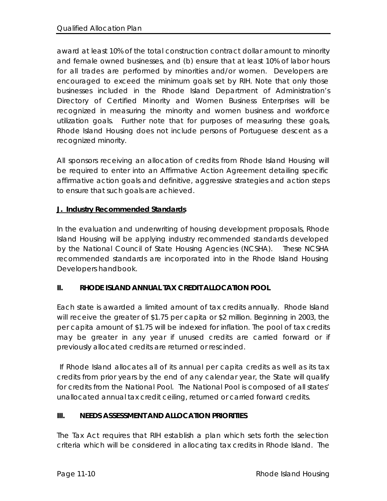award at least 10% of the total construction contract dollar amount to minority and female owned businesses, and (b) ensure that at least 10% of labor hours for all trades are performed by minorities and/or women. Developers are encouraged to exceed the minimum goals set by RIH. Note that only those businesses included in the Rhode Island Department of Administration's Directory of Certified Minority and Women Business Enterprises will be recognized in measuring the minority and women business and workforce utilization goals. Further note that for purposes of measuring these goals, Rhode Island Housing does not include persons of Portuguese descent as a recognized minority.

All sponsors receiving an allocation of credits from Rhode Island Housing will be required to enter into an Affirmative Action Agreement detailing specific affirmative action goals and definitive, aggressive strategies and action steps to ensure that such goals are achieved.

## **J. Industry Recommended Standards**

In the evaluation and underwriting of housing development proposals, Rhode Island Housing will be applying industry recommended standards developed by the National Council of State Housing Agencies (NCSHA). These NCSHA recommended standards are incorporated into in the Rhode Island Housing Developers handbook.

## **II. RHODE ISLAND ANNUAL TAX CREDIT ALLOCATION POOL**

Each state is awarded a limited amount of tax credits annually. Rhode Island will receive the greater of \$1.75 per capita or \$2 million. Beginning in 2003, the per capita amount of \$1.75 will be indexed for inflation. The pool of tax credits may be greater in any year if unused credits are carried forward or if previously allocated credits are returned or rescinded.

 If Rhode Island allocates all of its annual per capita credits as well as its tax credits from prior years by the end of any calendar year, the State will qualify for credits from the National Pool. The National Pool is composed of all states' unallocated annual tax credit ceiling, returned or carried forward credits.

# **III. NEEDS ASSESSMENT AND ALLOCATION PRIORITIES**

The Tax Act requires that RIH establish a plan which sets forth the selection criteria which will be considered in allocating tax credits in Rhode Island. The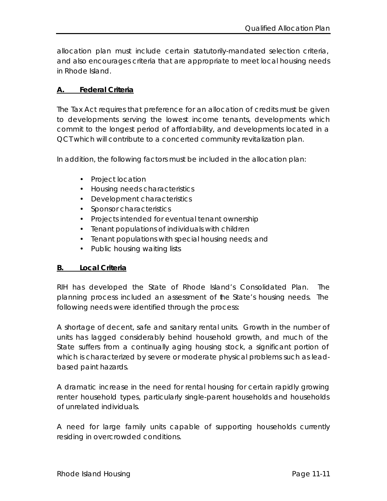allocation plan must include certain statutorily-mandated selection criteria, and also encourages criteria that are appropriate to meet local housing needs in Rhode Island.

#### **A. Federal Criteria**

The Tax Act requires that preference for an allocation of credits must be given to developments serving the lowest income tenants, developments which commit to the longest period of affordability, and developments located in a QCT which will contribute to a concerted community revitalization plan.

In addition, the following factors must be included in the allocation plan:

- Project location
- Housing needs characteristics
- Development characteristics
- Sponsor characteristics
- Projects intended for eventual tenant ownership
- Tenant populations of individuals with children
- Tenant populations with special housing needs; and
- Public housing waiting lists

#### **B. Local Criteria**

RIH has developed the State of Rhode Island's Consolidated Plan. The planning process included an assessment of the State's housing needs. The following needs were identified through the process:

A shortage of decent, safe and sanitary rental units. Growth in the number of units has lagged considerably behind household growth, and much of the State suffers from a continually aging housing stock, a significant portion of which is characterized by severe or moderate physical problems such as leadbased paint hazards.

A dramatic increase in the need for rental housing for certain rapidly growing renter household types, particularly single-parent households and households of unrelated individuals.

A need for large family units capable of supporting households currently residing in overcrowded conditions.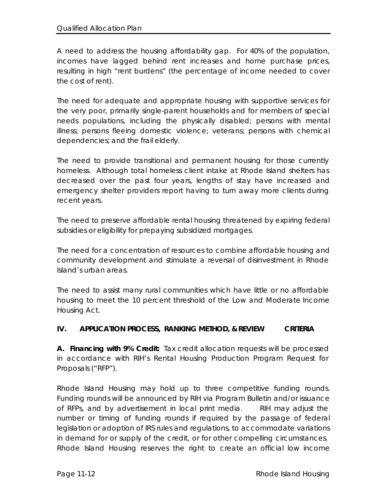A need to address the housing affordability gap. For 40% of the population, incomes have lagged behind rent increases and home purchase prices, resulting in high "rent burdens" (the percentage of income needed to cover the cost of rent).

The need for adequate and appropriate housing with supportive services for the very poor, primarily single-parent households and for members of special needs populations, including the physically disabled; persons with mental illness; persons fleeing domestic violence; veterans; persons with chemical dependencies; and the frail elderly.

The need to provide transitional and permanent housing for those currently homeless. Although total homeless client intake at Rhode Island shelters has decreased over the past four years, lengths of stay have increased and emergency shelter providers report having to turn away more clients during recent years.

The need to preserve affordable rental housing threatened by expiring federal subsidies or eligibility for prepaying subsidized mortgages.

The need for a concentration of resources to combine affordable housing and community development and stimulate a reversal of disinvestment in Rhode Island's urban areas.

The need to assist many rural communities which have little or no affordable housing to meet the 10 percent threshold of the Low and Moderate Income Housing Act.

# **IV. APPLICATION PROCESS, RANKING METHOD, & REVIEW CRITERIA**

**A. Financing with 9% Credit:** Tax credit allocation requests will be processed in accordance with RIH's Rental Housing Production Program Request for Proposals ("RFP").

Rhode Island Housing may hold up to three competitive funding rounds. Funding rounds will be announced by RIH via Program Bulletin and/or issuance of RFPs, and by advertisement in local print media. RIH may adjust the number or timing of funding rounds if required by the passage of federal legislation or adoption of IRS rules and regulations, to accommodate variations in demand for or supply of the credit, or for other compelling circumstances. Rhode Island Housing reserves the right to create an official low income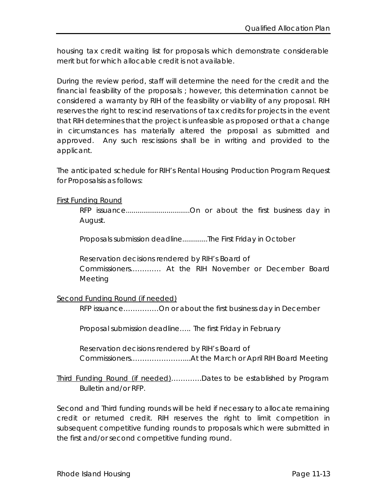housing tax credit waiting list for proposals which demonstrate considerable merit but for which allocable credit is not available.

During the review period, staff will determine the need for the credit and the financial feasibility of the proposals ; however, this determination cannot be considered a warranty by RIH of the feasibility or viability of any proposal. RIH reserves the right to rescind reservations of tax credits for projects in the event that RIH determines that the project is unfeasible as proposed or that a change in circumstances has materially altered the proposal as submitted and approved. Any such rescissions shall be in writing and provided to the applicant.

The anticipated schedule for RIH's Rental Housing Production Program Request for Proposalsis as follows:

#### First Funding Round

RFP issuance.................................On or about the first business day in August.

Proposals submission deadline.............The First Friday in October

Reservation decisions rendered by RIH's Board of Commissioners.………… At the RIH November or December Board Meeting

## Second Funding Round (if needed)

RFP issuance……………On or about the first business day in December

Proposal submission deadline….. The first Friday in February

Reservation decisions rendered by RIH's Board of Commissioners.…………………....At the March or April RIH Board Meeting

Third Funding Round (if needed)…………Dates to be established by Program Bulletin and/or RFP.

Second and Third funding rounds will be held if necessary to allocate remaining credit or returned credit. RIH reserves the right to limit competition in subsequent competitive funding rounds to proposals which were submitted in the first and/or second competitive funding round.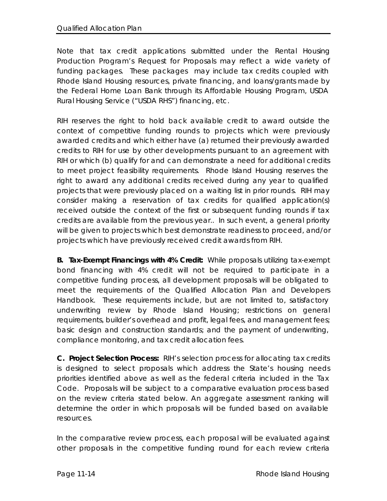Note that tax credit applications submitted under the Rental Housing Production Program's Request for Proposals may reflect a wide variety of funding packages. These packages may include tax credits coupled with Rhode Island Housing resources, private financing, and loans/grants made by the Federal Home Loan Bank through its Affordable Housing Program, USDA Rural Housing Service ("USDA RHS") financing, etc.

RIH reserves the right to hold back available credit to award outside the context of competitive funding rounds to projects which were previously awarded credits and which either have (a) returned their previously awarded credits to RIH for use by other developments pursuant to an agreement with RIH or which (b) qualify for and can demonstrate a need for additional credits to meet project feasibility requirements. Rhode Island Housing reserves the right to award any additional credits received during any year to qualified projects that were previously placed on a waiting list in prior rounds. RIH may consider making a reservation of tax credits for qualified application(s) received outside the context of the first or subsequent funding rounds if tax credits are available from the previous year.. In such event, a general priority will be given to projects which best demonstrate readiness to proceed, and/or projects which have previously received credit awards from RIH.

**B. Tax-Exempt Financings with 4% Credit:** While proposals utilizing tax-exempt bond financing with 4% credit will not be required to participate in a competitive funding process, all development proposals will be obligated to meet the requirements of the Qualified Allocation Plan and Developers Handbook. These requirements include, but are not limited to, satisfactory underwriting review by Rhode Island Housing; restrictions on general requirements, builder's overhead and profit, legal fees, and management fees; basic design and construction standards; and the payment of underwriting, compliance monitoring, and tax credit allocation fees.

**C. Project Selection Process:** RIH's selection process for allocating tax credits is designed to select proposals which address the State's housing needs priorities identified above as well as the federal criteria included in the Tax Code. Proposals will be subject to a comparative evaluation process based on the review criteria stated below. An aggregate assessment ranking will determine the order in which proposals will be funded based on available resources.

In the comparative review process, each proposal will be evaluated against other proposals in the competitive funding round for each review criteria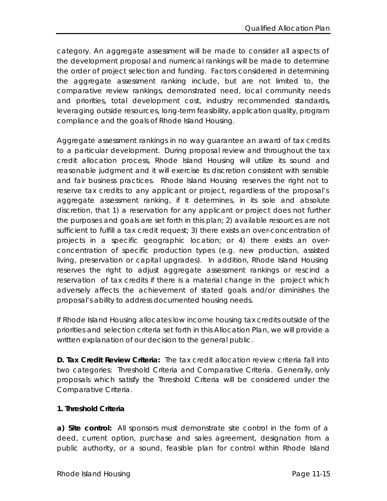category. An aggregate assessment will be made to consider all aspects of the development proposal and numerical rankings will be made to determine the order of project selection and funding. Factors considered in determining the aggregate assessment ranking include, but are not limited to, the comparative review rankings, demonstrated need, local community needs and priorities, total development cost, industry recommended standards, leveraging outside resources, long-term feasibility, application quality, program compliance and the goals of Rhode Island Housing.

Aggregate assessment rankings in no way guarantee an award of tax credits to a particular development. During proposal review and throughout the tax credit allocation process, Rhode Island Housing will utilize its sound and reasonable judgment and it will exercise its discretion consistent with sensible and fair business practices. Rhode Island Housing reserves the right not to reserve tax credits to any applicant or project, regardless of the proposal's aggregate assessment ranking, if it determines, in its sole and absolute discretion, that 1) a reservation for any applicant or project does not further the purposes and goals are set forth in this plan; 2) available resources are not sufficient to fulfill a tax credit request; 3) there exists an over-concentration of projects in a specific geographic location; or 4) there exists an overconcentration of specific production types (e.g. new production, assisted living, preservation or capital upgrades). In addition, Rhode Island Housing reserves the right to adjust aggregate assessment rankings or rescind a reservation of tax credits if there is a material change in the project which adversely affects the achievement of stated goals and/or diminishes the proposal's ability to address documented housing needs.

If Rhode Island Housing allocates low income housing tax credits outside of the priorities and selection criteria set forth in this Allocation Plan, we will provide a written explanation of our decision to the general public.

**D. Tax Credit Review Criteria:** The tax credit allocation review criteria fall into two categories: Threshold Criteria and Comparative Criteria. Generally, only proposals which satisfy the Threshold Criteria will be considered under the Comparative Criteria.

## **1. Threshold Criteria**

**a) Site control:** All sponsors must demonstrate site control in the form of a deed, current option, purchase and sales agreement, designation from a public authority, or a sound, feasible plan for control within Rhode Island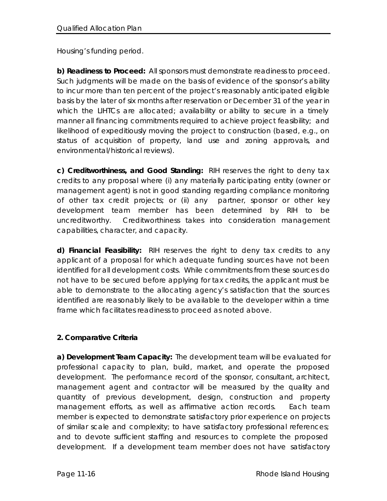Housing's funding period.

**b) Readiness to Proceed:** All sponsors must demonstrate readiness to proceed. Such judgments will be made on the basis of evidence of the sponsor's ability to incur more than ten percent of the project's reasonably anticipated eligible basis by the later of six months after reservation or December 31 of the year in which the LIHTCs are allocated; availability or ability to secure in a timely manner all financing commitments required to achieve project feasibility; and likelihood of expeditiously moving the project to construction (based, e.g., on status of acquisition of property, land use and zoning approvals, and environmental/historical reviews).

**c) Creditworthiness, and Good Standing:** RIH reserves the right to deny tax credits to any proposal where (i) any materially participating entity (owner or management agent) is not in good standing regarding compliance monitoring of other tax credit projects; or (ii) any partner, sponsor or other key development team member has been determined by RIH to be uncreditworthy. Creditworthiness takes into consideration management capabilities, character, and capacity.

**d) Financial Feasibility:** RIH reserves the right to deny tax credits to any applicant of a proposal for which adequate funding sources have not been identified for all development costs. While commitments from these sources do not have to be secured before applying for tax credits, the applicant must be able to demonstrate to the allocating agency's satisfaction that the sources identified are reasonably likely to be available to the developer within a time frame which facilitates readiness to proceed as noted above.

# **2. Comparative Criteria**

**a) Development Team Capacity:** The development team will be evaluated for professional capacity to plan, build, market, and operate the proposed development. The performance record of the sponsor, consultant, architect, management agent and contractor will be measured by the quality and quantity of previous development, design, construction and property management efforts, as well as affirmative action records. Each team member is expected to demonstrate satisfactory prior experience on projects of similar scale and complexity; to have satisfactory professional references; and to devote sufficient staffing and resources to complete the proposed development. If a development team member does not have satisfactory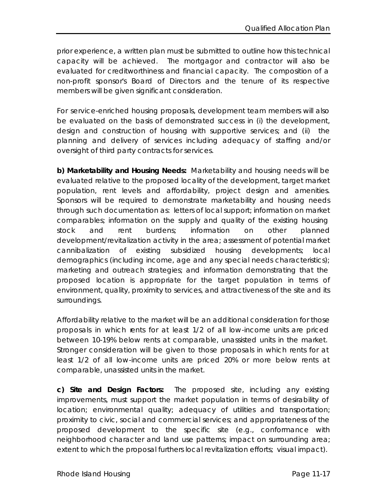prior experience, a written plan must be submitted to outline how this technical capacity will be achieved. The mortgagor and contractor will also be evaluated for creditworthiness and financial capacity. The composition of a non-profit sponsor's Board of Directors and the tenure of its respective members will be given significant consideration.

For service-enriched housing proposals, development team members will also be evaluated on the basis of demonstrated success in (i) the development, design and construction of housing with supportive services; and (ii) the planning and delivery of services including adequacy of staffing and/or oversight of third party contracts for services.

**b) Marketability and Housing Needs:** Marketability and housing needs will be evaluated relative to the proposed locality of the development, target market population, rent levels and affordability, project design and amenities. Sponsors will be required to demonstrate marketability and housing needs through such documentation as: letters of local support; information on market comparables; information on the supply and quality of the existing housing stock and rent burdens; information on other planned development/revitalization activity in the area; assessment of potential market cannibalization of existing subsidized housing developments; local demographics (including income, age and any special needs characteristics); marketing and outreach strategies; and information demonstrating that the proposed location is appropriate for the target population in terms of environment, quality, proximity to services, and attractiveness of the site and its surroundings.

Affordability relative to the market will be an additional consideration for those proposals in which rents for at least 1/2 of all low-income units are priced between 10-19% below rents at comparable, unassisted units in the market. Stronger consideration will be given to those proposals in which rents for at least 1/2 of all low-income units are priced 20% or more below rents at comparable, unassisted units in the market.

**c) Site and Design Factors:** The proposed site, including any existing improvements, must support the market population in terms of desirability of location; environmental quality; adequacy of utilities and transportation; proximity to civic, social and commercial services; and appropriateness of the proposed development to the specific site (e.g., conformance with neighborhood character and land use patterns; impact on surrounding area; extent to which the proposal furthers local revitalization efforts; visual impact).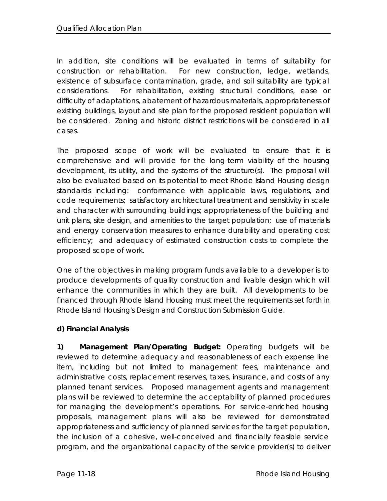In addition, site conditions will be evaluated in terms of suitability for construction or rehabilitation. For new construction, ledge, wetlands, existence of subsurface contamination, grade, and soil suitability are typical considerations. For rehabilitation, existing structural conditions, ease or difficulty of adaptations, abatement of hazardous materials, appropriateness of existing buildings, layout and site plan for the proposed resident population will be considered. Zoning and historic district restrictions will be considered in all cases.

The proposed scope of work will be evaluated to ensure that it is comprehensive and will provide for the long-term viability of the housing development, its utility, and the systems of the structure(s). The proposal will also be evaluated based on its potential to meet Rhode Island Housing design standards including: conformance with applicable laws, regulations, and code requirements; satisfactory architectural treatment and sensitivity in scale and character with surrounding buildings; appropriateness of the building and unit plans, site design, and amenities to the target population; use of materials and energy conservation measures to enhance durability and operating cost efficiency; and adequacy of estimated construction costs to complete the proposed scope of work.

One of the objectives in making program funds available to a developer is to produce developments of quality construction and livable design which will enhance the communities in which they are built. All developments to be financed through Rhode Island Housing must meet the requirements set forth in Rhode Island Housing's Design and Construction Submission Guide.

# **d) Financial Analysis**

**1) Management Plan/Operating Budget:** Operating budgets will be reviewed to determine adequacy and reasonableness of each expense line item, including but not limited to management fees, maintenance and administrative costs, replacement reserves, taxes, insurance, and costs of any planned tenant services. Proposed management agents and management plans will be reviewed to determine the acceptability of planned procedures for managing the development's operations. For service-enriched housing proposals, management plans will also be reviewed for demonstrated appropriateness and sufficiency of planned services for the target population, the inclusion of a cohesive, well-conceived and financially feasible service program, and the organizational capacity of the service provider(s) to deliver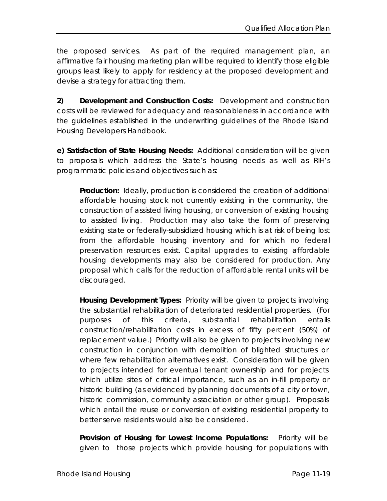the proposed services. As part of the required management plan, an affirmative fair housing marketing plan will be required to identify those eligible groups least likely to apply for residency at the proposed development and devise a strategy for attracting them.

**2) Development and Construction Costs:** Development and construction costs will be reviewed for adequacy and reasonableness in accordance with the guidelines established in the underwriting guidelines of the Rhode Island Housing Developers Handbook.

**e) Satisfaction of State Housing Needs:** Additional consideration will be given to proposals which address the State's housing needs as well as RIH's programmatic policies and objectives such as:

**Production:** Ideally, production is considered the creation of additional affordable housing stock not currently existing in the community, the construction of assisted living housing, or conversion of existing housing to assisted living. Production may also take the form of preserving existing state or federally-subsidized housing which is at risk of being lost from the affordable housing inventory and for which no federal preservation resources exist. Capital upgrades to existing affordable housing developments may also be considered for production. Any proposal which calls for the reduction of affordable rental units will be discouraged.

**Housing Development Types:** Priority will be given to projects involving the substantial rehabilitation of deteriorated residential properties. (For purposes of this criteria, substantial rehabilitation entails construction/rehabilitation costs in excess of fifty percent (50%) of replacement value.) Priority will also be given to projects involving new construction in conjunction with demolition of blighted structures or where few rehabilitation alternatives exist. Consideration will be given to projects intended for eventual tenant ownership and for projects which utilize sites of critical importance, such as an in-fill property or historic building (as evidenced by planning documents of a city or town, historic commission, community association or other group). Proposals which entail the reuse or conversion of existing residential property to better serve residents would also be considered.

Provision of Housing for Lowest Income Populations: Priority will be given to those projects which provide housing for populations with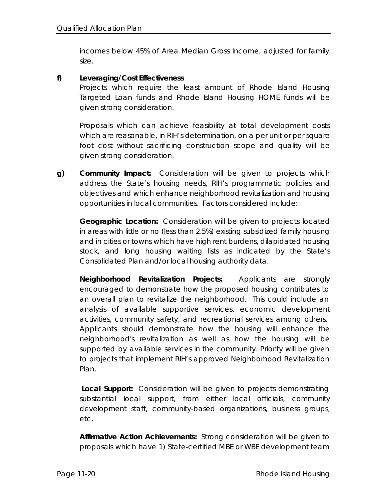incomes below 45% of Area Median Gross Income, adjusted for family size.

#### **f) Leveraging/Cost Effectiveness**

Projects which require the least amount of Rhode Island Housing Targeted Loan funds and Rhode Island Housing HOME funds will be given strong consideration.

Proposals which can achieve feasibility at total development costs which are reasonable, in RIH's determination, on a per unit or per square foot cost without sacrificing construction scope and quality will be given strong consideration.

**g) Community Impact:** Consideration will be given to projects which address the State's housing needs, RIH's programmatic policies and objectives and which enhance neighborhood revitalization and housing opportunities in local communities. Factors considered include:

**Geographic Location:** Consideration will be given to projects located in areas with little or no (less than 2.5%) existing subsidized family housing and in cities or towns which have high rent burdens, dilapidated housing stock, and long housing waiting lists as indicated by the State's Consolidated Plan and/or local housing authority data.

**Neighborhood Revitalization Projects:** Applicants are strongly encouraged to demonstrate how the proposed housing contributes to an overall plan to revitalize the neighborhood. This could include an analysis of available supportive services, economic development activities, community safety, and recreational services among others. Applicants should demonstrate how the housing will enhance the neighborhood's revitalization as well as how the housing will be supported by available services in the community. Priority will be given to projects that implement RIH's approved Neighborhood Revitalization Plan.

**Local Support:** Consideration will be given to projects demonstrating substantial local support, from either local officials, community development staff, community-based organizations, business groups, etc.

**Affirmative Action Achievements:** Strong consideration will be given to proposals which have 1) State-certified MBE or WBE development team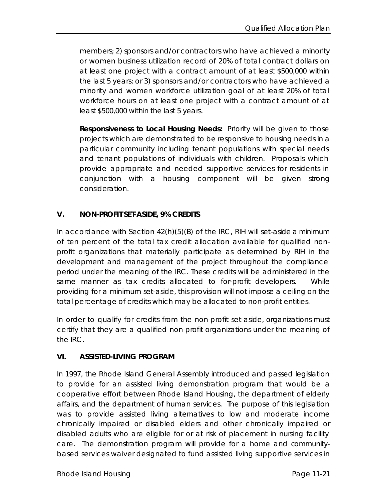members; 2) sponsors and/or contractors who have achieved a minority or women business utilization record of 20% of total contract dollars on at least one project with a contract amount of at least \$500,000 within the last 5 years; or 3) sponsors and/or contractors who have achieved a minority and women workforce utilization goal of at least 20% of total workforce hours on at least one project with a contract amount of at least \$500,000 within the last 5 years.

**Responsiveness to Local Housing Needs:** Priority will be given to those projects which are demonstrated to be responsive to housing needs in a particular community including tenant populations with special needs and tenant populations of individuals with children. Proposals which provide appropriate and needed supportive services for residents in conjunction with a housing component will be given strong consideration.

## **V. NON-PROFIT SET-ASIDE, 9% CREDITS**

In accordance with Section 42(h)(5)(B) of the IRC, RIH will set-aside a minimum of ten percent of the total tax credit allocation available for qualified nonprofit organizations that materially participate as determined by RIH in the development and management of the project throughout the compliance period under the meaning of the IRC. These credits will be administered in the same manner as tax credits allocated to for-profit developers. While providing for a minimum set-aside, this provision will not impose a ceiling on the total percentage of credits which may be allocated to non-profit entities.

In order to qualify for credits from the non-profit set-aside, organizations must certify that they are a qualified non-profit organizations under the meaning of the IRC.

## **VI. ASSISTED-LIVING PROGRAM**

In 1997, the Rhode Island General Assembly introduced and passed legislation to provide for an assisted living demonstration program that would be a cooperative effort between Rhode Island Housing, the department of elderly affairs, and the department of human services. The purpose of this legislation was to provide assisted living alternatives to low and moderate income chronically impaired or disabled elders and other chronically impaired or disabled adults who are eligible for or at risk of placement in nursing facility care. The demonstration program will provide for a home and communitybased services waiver designated to fund assisted living supportive services in

Rhode Island Housing Page 11-21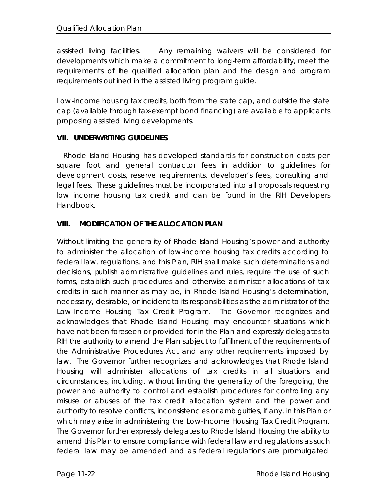assisted living facilities. Any remaining waivers will be considered for developments which make a commitment to long-term affordability, meet the requirements of the qualified allocation plan and the design and program requirements outlined in the assisted living program guide.

Low-income housing tax credits, both from the state cap, and outside the state cap (available through tax-exempt bond financing) are available to applicants proposing assisted living developments.

## **VII. UNDERWRITING GUIDELINES**

 Rhode Island Housing has developed standards for construction costs per square foot and general contractor fees in addition to guidelines for development costs, reserve requirements, developer's fees, consulting and legal fees. These guidelines must be incorporated into all proposals requesting low income housing tax credit and can be found in the RIH Developers Handbook.

# **VIII. MODIFICATION OF THE ALLOCATION PLAN**

Without limiting the generality of Rhode Island Housing's power and authority to administer the allocation of low-income housing tax credits according to federal law, regulations, and this Plan, RIH shall make such determinations and decisions, publish administrative guidelines and rules, require the use of such forms, establish such procedures and otherwise administer allocations of tax credits in such manner as may be, in Rhode Island Housing's determination, necessary, desirable, or incident to its responsibilities as the administrator of the Low-Income Housing Tax Credit Program. The Governor recognizes and acknowledges that Rhode Island Housing may encounter situations which have not been foreseen or provided for in the Plan and expressly delegates to RIH the authority to amend the Plan subject to fulfillment of the requirements of the Administrative Procedures Act and any other requirements imposed by law. The Governor further recognizes and acknowledges that Rhode Island Housing will administer allocations of tax credits in all situations and circumstances, including, without limiting the generality of the foregoing, the power and authority to control and establish procedures for controlling any misuse or abuses of the tax credit allocation system and the power and authority to resolve conflicts, inconsistencies or ambiguities, if any, in this Plan or which may arise in administering the Low-Income Housing Tax Credit Program. The Governor further expressly delegates to Rhode Island Housing the ability to amend this Plan to ensure compliance with federal law and regulations as such federal law may be amended and as federal regulations are promulgated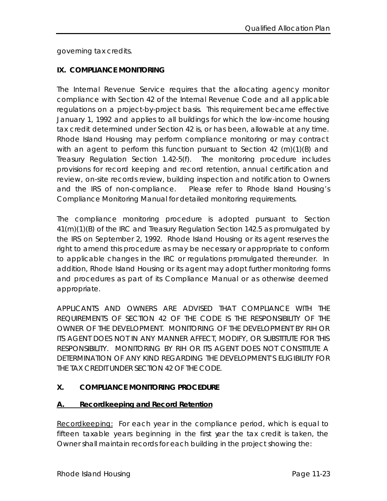governing tax credits.

# **IX. COMPLIANCE MONITORING**

The Internal Revenue Service requires that the allocating agency monitor compliance with Section 42 of the Internal Revenue Code and all applicable regulations on a project-by-project basis. This requirement became effective January 1, 1992 and applies to all buildings for which the low-income housing tax credit determined under Section 42 is, or has been, allowable at any time. Rhode Island Housing may perform compliance monitoring or may contract with an agent to perform this function pursuant to Section 42 (m)(1)(B) and Treasury Regulation Section 1.42-5(f). The monitoring procedure includes provisions for record keeping and record retention, annual certification and review, on-site records review, building inspection and notification to Owners and the IRS of non-compliance. Please refer to Rhode Island Housing's Compliance Monitoring Manual for detailed monitoring requirements.

The compliance monitoring procedure is adopted pursuant to Section 41(m)(1)(B) of the IRC and Treasury Regulation Section 142.5 as promulgated by the IRS on September 2, 1992. Rhode Island Housing or its agent reserves the right to amend this procedure as may be necessary or appropriate to conform to applicable changes in the IRC or regulations promulgated thereunder. In addition, Rhode Island Housing or its agent may adopt further monitoring forms and procedures as part of its Compliance Manual or as otherwise deemed appropriate.

APPLICANTS AND OWNERS ARE ADVISED THAT COMPLIANCE WITH THE REQUIREMENTS OF SECTION 42 OF THE CODE IS THE RESPONSIBILITY OF THE OWNER OF THE DEVELOPMENT. MONITORING OF THE DEVELOPMENT BY RIH OR ITS AGENT DOES NOT IN ANY MANNER AFFECT, MODIFY, OR SUBSTITUTE FOR THIS RESPONSIBILITY. MONITORING BY RIH OR ITS AGENT DOES NOT CONSTITUTE A DETERMINATION OF ANY KIND REGARDING THE DEVELOPMENT'S ELIGIBILITY FOR THE TAX CREDIT UNDER SECTION 42 OF THE CODE.

# **X. COMPLIANCE MONITORING PROCEDURE**

## **A. Recordkeeping and Record Retention**

Recordkeeping: For each year in the compliance period, which is equal to fifteen taxable years beginning in the first year the tax credit is taken, the Owner shall maintain records for each building in the project showing the: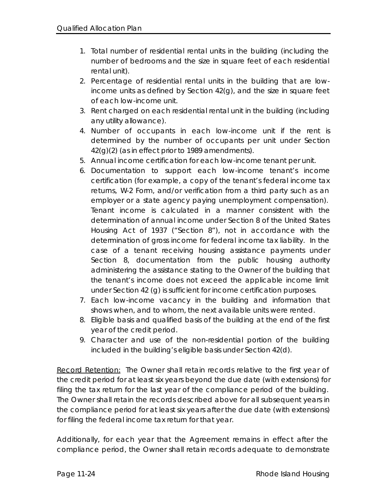- 1. Total number of residential rental units in the building (including the number of bedrooms and the size in square feet of each residential rental unit).
- 2. Percentage of residential rental units in the building that are lowincome units as defined by Section 42(g), and the size in square feet of each low-income unit.
- 3. Rent charged on each residential rental unit in the building (including any utility allowance).
- 4. Number of occupants in each low-income unit if the rent is determined by the number of occupants per unit under Section 42(g)(2) (as in effect prior to 1989 amendments).
- 5. Annual income certification for each low-income tenant per unit.
- 6. Documentation to support each low-income tenant's income certification (for example, a copy of the tenant's federal income tax returns, W-2 Form, and/or verification from a third party such as an employer or a state agency paying unemployment compensation). Tenant income is calculated in a manner consistent with the determination of annual income under Section 8 of the United States Housing Act of 1937 ("Section 8"), not in accordance with the determination of gross income for federal income tax liability. In the case of a tenant receiving housing assistance payments under Section 8, documentation from the public housing authority administering the assistance stating to the Owner of the building that the tenant's income does not exceed the applicable income limit under Section 42 (g) is sufficient for income certification purposes.
- 7. Each low-income vacancy in the building and information that shows when, and to whom, the next available units were rented.
- 8. Eligible basis and qualified basis of the building at the end of the first year of the credit period.
- 9. Character and use of the non-residential portion of the building included in the building's eligible basis under Section 42(d).

Record Retention: The Owner shall retain records relative to the first year of the credit period for at least six years beyond the due date (with extensions) for filing the tax return for the last year of the compliance period of the building. The Owner shall retain the records described above for all subsequent years in the compliance period for at least six years after the due date (with extensions) for filing the federal income tax return for that year.

Additionally, for each year that the Agreement remains in effect after the compliance period, the Owner shall retain records adequate to demonstrate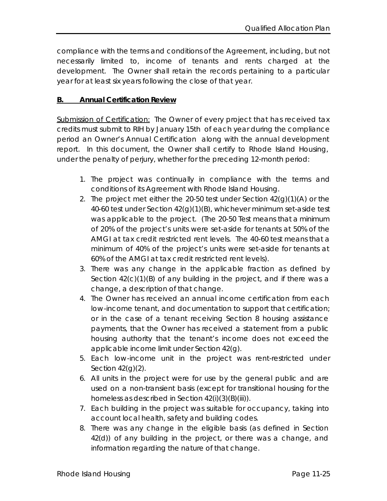compliance with the terms and conditions of the Agreement, including, but not necessarily limited to, income of tenants and rents charged at the development. The Owner shall retain the records pertaining to a particular year for at least six years following the close of that year.

#### **B. Annual Certification Review**

Submission of Certification: The Owner of every project that has received tax credits must submit to RIH by January 15th of each year during the compliance period an Owner's Annual Certification along with the annual development report. In this document, the Owner shall certify to Rhode Island Housing, under the penalty of perjury, whether for the preceding 12-month period:

- 1. The project was continually in compliance with the terms and conditions of its Agreement with Rhode Island Housing.
- 2. The project met either the 20-50 test under Section  $42(q)(1)(A)$  or the 40-60 test under Section 42(g)(1)(B), whichever minimum set-aside test was applicable to the project. (The 20-50 Test means that a minimum of 20% of the project's units were set-aside for tenants at 50% of the AMGI at tax credit restricted rent levels. The 40-60 test means that a minimum of 40% of the project's units were set-aside for tenants at 60% of the AMGI at tax credit restricted rent levels).
- 3. There was any change in the applicable fraction as defined by Section  $42(c)(1)(B)$  of any building in the project, and if there was a change, a description of that change.
- 4. The Owner has received an annual income certification from each low-income tenant, and documentation to support that certification; or in the case of a tenant receiving Section 8 housing assistance payments, that the Owner has received a statement from a public housing authority that the tenant's income does not exceed the applicable income limit under Section 42(g).
- 5. Each low-income unit in the project was rent-restricted under Section  $42(g)(2)$ .
- 6. All units in the project were for use by the general public and are used on a non-transient basis (except for transitional housing for the homeless as described in Section 42(i)(3)(B)(iii)).
- 7. Each building in the project was suitable for occupancy, taking into account local health, safety and building codes.
- 8. There was any change in the eligible basis (as defined in Section 42(d)) of any building in the project, or there was a change, and information regarding the nature of that change.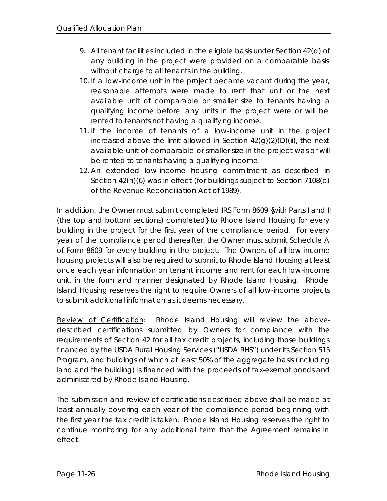- 9. All tenant facilities included in the eligible basis under Section 42(d) of any building in the project were provided on a comparable basis without charge to all tenants in the building.
- 10. If a low-income unit in the project became vacant during the year, reasonable attempts were made to rent that unit or the next available unit of comparable or smaller size to tenants having a qualifying income before any units in the project were or will be rented to tenants not having a qualifying income.
- 11. If the income of tenants of a low-income unit in the project increased above the limit allowed in Section  $42(g)(2)(D)(ii)$ , the next available unit of comparable or smaller size in the project was or will be rented to tenants having a qualifying income.
- 12. An extended low-income housing commitment as described in Section 42(h)(6) was in effect (for buildings subject to Section 7108(c) of the Revenue Reconciliation Act of 1989).

In addition, the Owner must submit completed IRS Form 8609 {with Parts I and II (the top and bottom sections) completed} to Rhode Island Housing for every building in the project for the first year of the compliance period. For every year of the compliance period thereafter, the Owner must submit Schedule A of Form 8609 for every building in the project. The Owners of all low-income housing projects will also be required to submit to Rhode Island Housing at least once each year information on tenant income and rent for each low-income unit, in the form and manner designated by Rhode Island Housing. Rhode Island Housing reserves the right to require Owners of all low-income projects to submit additional information as it deems necessary.

Review of Certification: Rhode Island Housing will review the abovedescribed certifications submitted by Owners for compliance with the requirements of Section 42 for all tax credit projects, including those buildings financed by the USDA Rural Housing Services ("USDA RHS") under its Section 515 Program, and buildings of which at least 50% of the aggregate basis (including land and the building) is financed with the proceeds of tax-exempt bonds and administered by Rhode Island Housing.

The submission and review of certifications described above shall be made at least annually covering each year of the compliance period beginning with the first year the tax credit is taken. Rhode Island Housing reserves the right to continue monitoring for any additional term that the Agreement remains in effect.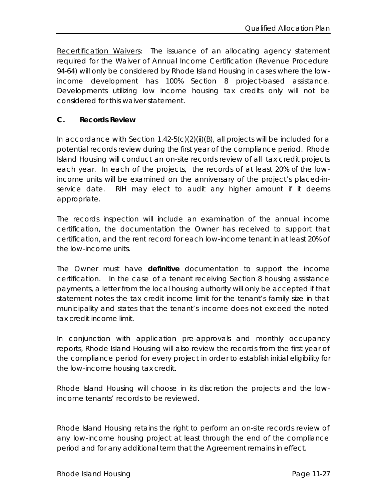Recertification Waivers: The issuance of an allocating agency statement required for the Waiver of Annual Income Certification (Revenue Procedure 94-64) will only be considered by Rhode Island Housing in cases where the lowincome development has 100% Section 8 project-based assistance. Developments utilizing low income housing tax credits only will not be considered for this waiver statement.

#### **C. Records Review**

In accordance with Section  $1.42 - 5(c)(2)(ii)(B)$ , all projects will be included for a potential records review during the first year of the compliance period. Rhode Island Housing will conduct an on-site records review of all tax credit projects each year. In each of the projects, the records of at least 20% of the lowincome units will be examined on the anniversary of the project's placed-inservice date. RIH may elect to audit any higher amount if it deems appropriate.

The records inspection will include an examination of the annual income certification, the documentation the Owner has received to support that certification, and the rent record for each low-income tenant in at least 20% of the low-income units.

The Owner must have **definitive** documentation to support the income certification. In the case of a tenant receiving Section 8 housing assistance payments, a letter from the local housing authority will only be accepted if that statement notes the tax credit income limit for the tenant's family size in that municipality and states that the tenant's income does not exceed the noted tax credit income limit.

In conjunction with application pre-approvals and monthly occupancy reports, Rhode Island Housing will also review the records from the first year of the compliance period for every project in order to establish initial eligibility for the low-income housing tax credit.

Rhode Island Housing will choose in its discretion the projects and the lowincome tenants' records to be reviewed.

Rhode Island Housing retains the right to perform an on-site records review of any low-income housing project at least through the end of the compliance period and for any additional term that the Agreement remains in effect.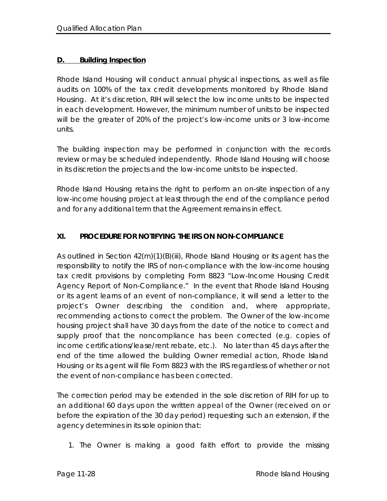#### **D. Building Inspection**

Rhode Island Housing will conduct annual physical inspections, as well as file audits on 100% of the tax credit developments monitored by Rhode Island Housing. At it's discretion, RIH will select the low income units to be inspected in each development. However, the minimum number of units to be inspected will be the greater of 20% of the project's low-income units or 3 low-income units.

The building inspection may be performed in conjunction with the records review or may be scheduled independently. Rhode Island Housing will choose in its discretion the projects and the low-income units to be inspected.

Rhode Island Housing retains the right to perform an on-site inspection of any low-income housing project at least through the end of the compliance period and for any additional term that the Agreement remains in effect.

## **XI. PROCEDURE FOR NOTIFYING THE IRS ON NON-COMPLIANCE**

As outlined in Section 42(m)(1)(B)(iii), Rhode Island Housing or its agent has the responsibility to notify the IRS of non-compliance with the low-income housing tax credit provisions by completing Form 8823 "Low-Income Housing Credit Agency Report of Non-Compliance." In the event that Rhode Island Housing or its agent learns of an event of non-compliance, it will send a letter to the project's Owner describing the condition and, where appropriate, recommending actions to correct the problem. The Owner of the low-income housing project shall have 30 days from the date of the notice to correct and supply proof that the noncompliance has been corrected (e.g. copies of income certifications/lease/rent rebate, etc.). No later than 45 days after the end of the time allowed the building Owner remedial action, Rhode Island Housing or its agent will file Form 8823 with the IRS regardless of whether or not the event of non-compliance has been corrected.

The correction period may be extended in the sole discretion of RIH for up to an additional 60 days upon the written appeal of the Owner (received on or before the expiration of the 30 day period) requesting such an extension, if the agency determines in its sole opinion that:

1. The Owner is making a good faith effort to provide the missing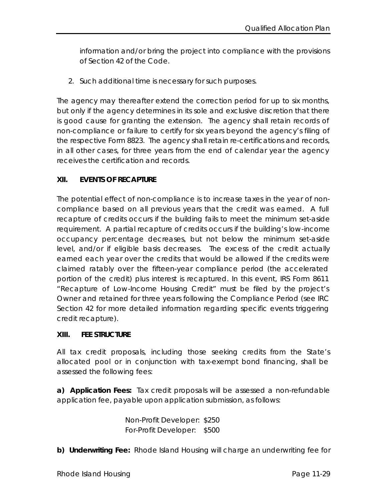information and/or bring the project into compliance with the provisions of Section 42 of the Code.

2. Such additional time is necessary for such purposes.

The agency may thereafter extend the correction period for up to six months, but only if the agency determines in its sole and exclusive discretion that there is good cause for granting the extension. The agency shall retain records of non-compliance or failure to certify for six years beyond the agency's filing of the respective Form 8823. The agency shall retain re-certifications and records, in all other cases, for three years from the end of calendar year the agency receives the certification and records.

## **XII. EVENTS OF RECAPTURE**

The potential effect of non-compliance is to increase taxes in the year of noncompliance based on all previous years that the credit was earned. A full recapture of credits occurs if the building fails to meet the minimum set-aside requirement. A partial recapture of credits occurs if the building's low-income occupancy percentage decreases, but not below the minimum set-aside level, and/or if eligible basis decreases. The excess of the credit actually earned each year over the credits that would be allowed if the credits were claimed ratably over the fifteen-year compliance period (the accelerated portion of the credit) plus interest is recaptured. In this event, IRS Form 8611 "Recapture of Low-Income Housing Credit" must be filed by the project's Owner and retained for three years following the Compliance Period (see IRC Section 42 for more detailed information regarding specific events triggering credit recapture).

## **XIII. FEE STRUCTURE**

All tax credit proposals, including those seeking credits from the State's allocated pool or in conjunction with tax-exempt bond financing, shall be assessed the following fees:

**a) Application Fees:** Tax credit proposals will be assessed a non-refundable application fee, payable upon application submission, as follows:

> Non-Profit Developer: \$250 For-Profit Developer: \$500

**b) Underwriting Fee:** Rhode Island Housing will charge an underwriting fee for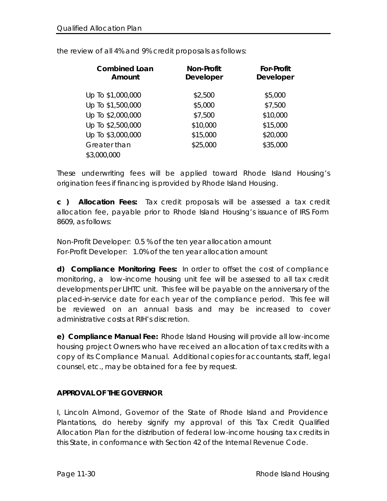| <b>Combined Loan</b><br>Amount | <b>Non-Profit</b><br><b>Developer</b> | <b>For-Profit</b><br><b>Developer</b> |
|--------------------------------|---------------------------------------|---------------------------------------|
| Up To \$1,000,000              | \$2,500                               | \$5,000                               |
| Up To \$1,500,000              | \$5,000                               | \$7,500                               |
| Up To \$2,000,000              | \$7,500                               | \$10,000                              |
| Up To \$2,500,000              | \$10,000                              | \$15,000                              |
| Up To \$3,000,000              | \$15,000                              | \$20,000                              |
| Greater than                   | \$25,000                              | \$35,000                              |
| \$3,000,000                    |                                       |                                       |

the review of all 4% and 9% credit proposals as follows:

These underwriting fees will be applied toward Rhode Island Housing's origination fees if financing is provided by Rhode Island Housing.

**c ) Allocation Fees:** Tax credit proposals will be assessed a tax credit allocation fee, payable prior to Rhode Island Housing's issuance of IRS Form 8609, as follows:

Non-Profit Developer: 0.5 % of the ten year allocation amount For-Profit Developer: 1.0% of the ten year allocation amount

**d) Compliance Monitoring Fees:** In order to offset the cost of compliance monitoring, a low-income housing unit fee will be assessed to all tax credit developments per LIHTC unit. This fee will be payable on the anniversary of the placed-in-service date for each year of the compliance period. This fee will be reviewed on an annual basis and may be increased to cover administrative costs at RIH's discretion.

**e) Compliance Manual Fee:** Rhode Island Housing will provide all low-income housing project Owners who have received an allocation of tax credits with a copy of its Compliance Manual. Additional copies for accountants, staff, legal counsel, etc., may be obtained for a fee by request.

## **APPROVAL OF THE GOVERNOR**

I, Lincoln Almond, Governor of the State of Rhode Island and Providence Plantations, do hereby signify my approval of this Tax Credit Qualified Allocation Plan for the distribution of federal low-income housing tax credits in this State, in conformance with Section 42 of the Internal Revenue Code.